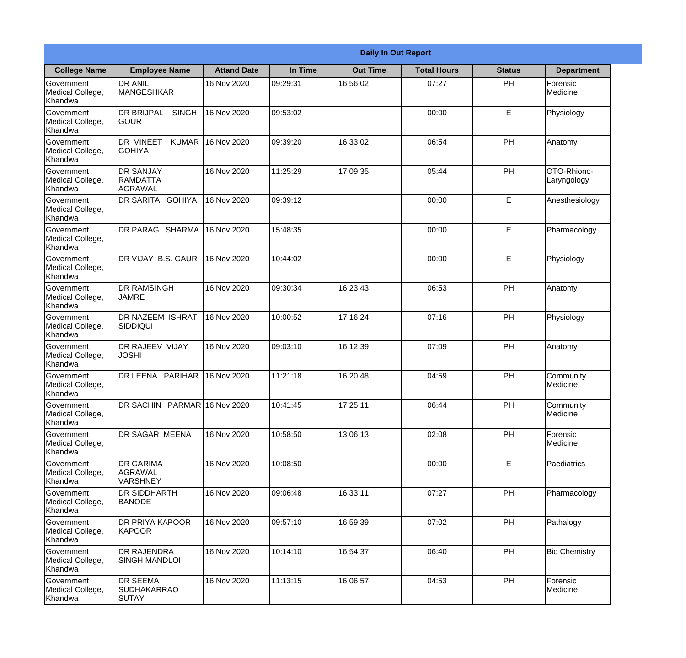|                                                  |                                                       |                    |          | <b>Daily In Out Report</b> |                    |               |                            |
|--------------------------------------------------|-------------------------------------------------------|--------------------|----------|----------------------------|--------------------|---------------|----------------------------|
| <b>College Name</b>                              | <b>Employee Name</b>                                  | <b>Attand Date</b> | In Time  | <b>Out Time</b>            | <b>Total Hours</b> | <b>Status</b> | <b>Department</b>          |
| Government<br>Medical College,<br>Khandwa        | <b>DR ANIL</b><br><b>MANGESHKAR</b>                   | 16 Nov 2020        | 09:29:31 | 16:56:02                   | 07:27              | PH            | Forensic<br>Medicine       |
| Government<br>Medical College,<br>Khandwa        | <b>DR BRIJPAL</b><br><b>SINGH</b><br> GOUR            | 16 Nov 2020        | 09:53:02 |                            | 00:00              | E             | Physiology                 |
| <b>Government</b><br>Medical College,<br>Khandwa | <b>DR VINEET</b><br><b>KUMAR</b><br><b>I</b> GOHIYA   | 16 Nov 2020        | 09:39:20 | 16:33:02                   | 06:54              | PH            | Anatomy                    |
| Government<br>Medical College,<br>Khandwa        | <b>DR SANJAY</b><br><b>RAMDATTA</b><br><b>AGRAWAL</b> | 16 Nov 2020        | 11:25:29 | 17:09:35                   | 05:44              | PH            | OTO-Rhiono-<br>Laryngology |
| Government<br>Medical College,<br>Khandwa        | <b>DR SARITA GOHIYA</b>                               | 16 Nov 2020        | 09:39:12 |                            | 00:00              | E             | Anesthesiology             |
| Government<br>Medical College,<br>Khandwa        | <b>DR PARAG SHARMA</b>                                | 16 Nov 2020        | 15:48:35 |                            | 00:00              | E             | Pharmacology               |
| Government<br>Medical College,<br>Khandwa        | DR VIJAY B.S. GAUR                                    | 16 Nov 2020        | 10:44:02 |                            | 00:00              | E             | Physiology                 |
| <b>Government</b><br>Medical College,<br>Khandwa | <b>DR RAMSINGH</b><br><b>JAMRE</b>                    | 16 Nov 2020        | 09:30:34 | 16:23:43                   | 06:53              | PH            | Anatomy                    |
| Government<br>Medical College,<br>Khandwa        | <b>DR NAZEEM ISHRAT</b><br>SIDDIQUI                   | 16 Nov 2020        | 10:00:52 | 17:16:24                   | 07:16              | PH            | Physiology                 |
| Government<br>Medical College,<br>Khandwa        | <b>DR RAJEEV VIJAY</b><br><b>JOSHI</b>                | 16 Nov 2020        | 09:03:10 | 16:12:39                   | 07:09              | PH            | Anatomy                    |
| Government<br>Medical College,<br>Khandwa        | DR LEENA PARIHAR                                      | 16 Nov 2020        | 11:21:18 | 16:20:48                   | 04:59              | PH            | Community<br>Medicine      |
| Government<br>Medical College,<br>Khandwa        | DR SACHIN PARMAR 16 Nov 2020                          |                    | 10:41:45 | 17:25:11                   | 06:44              | PH            | Community<br>Medicine      |
| Government<br>Medical College,<br>Khandwa        | DR SAGAR MEENA                                        | 16 Nov 2020        | 10:58:50 | 13:06:13                   | 02:08              | PH            | Forensic<br>Medicine       |
| Government<br>Medical College,<br>Khandwa        | <b>DR GARIMA</b><br>AGRAWAL<br><b>VARSHNEY</b>        | 16 Nov 2020        | 10:08:50 |                            | 00:00              | E             | Paediatrics                |
| Government<br>Medical College,<br>Khandwa        | <b>DR SIDDHARTH</b><br><b>BANODE</b>                  | 16 Nov 2020        | 09:06:48 | 16:33:11                   | 07:27              | PH            | Pharmacology               |
| Government<br>Medical College,<br>Khandwa        | <b>DR PRIYA KAPOOR</b><br>KAPOOR                      | 16 Nov 2020        | 09:57:10 | 16:59:39                   | 07:02              | PH            | Pathalogy                  |
| Government<br>Medical College,<br>Khandwa        | <b>DR RAJENDRA</b><br><b>SINGH MANDLOI</b>            | 16 Nov 2020        | 10:14:10 | 16:54:37                   | 06:40              | PH            | <b>Bio Chemistry</b>       |
| Government<br>Medical College,<br>Khandwa        | <b>DR SEEMA</b><br>SUDHAKARRAO<br><b>SUTAY</b>        | 16 Nov 2020        | 11:13:15 | 16:06:57                   | 04:53              | PH            | Forensic<br>Medicine       |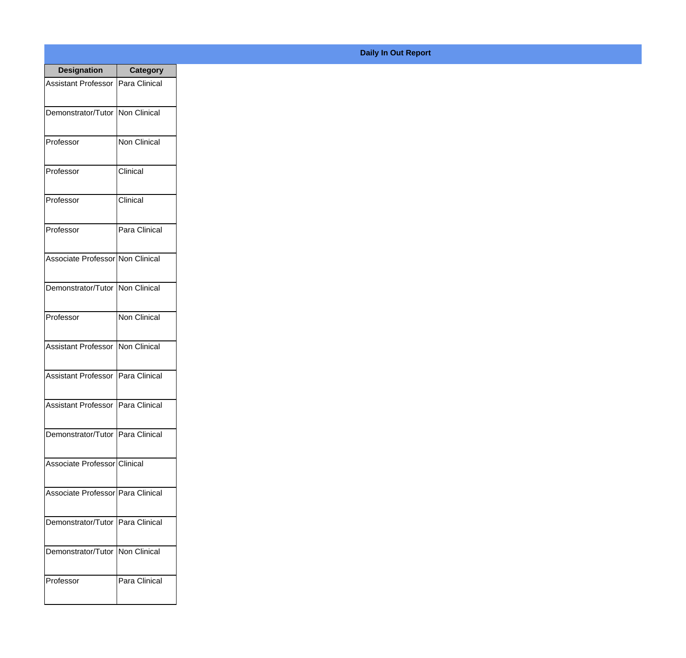| <b>Designation</b>                  | <b>Category</b>     |
|-------------------------------------|---------------------|
| Assistant Professor   Para Clinical |                     |
| Demonstrator/Tutor   Non Clinical   |                     |
| Professor                           | <b>Non Clinical</b> |
| Professor                           | Clinical            |
| Professor                           | Clinical            |
| Professor                           | Para Clinical       |
| Associate Professor Non Clinical    |                     |
| Demonstrator/Tutor   Non Clinical   |                     |
| Professor                           | <b>Non Clinical</b> |
| Assistant Professor                 | Non Clinical        |
| <b>Assistant Professor</b>          | Para Clinical       |
| Assistant Professor   Para Clinical |                     |
| Demonstrator/Tutor   Para Clinical  |                     |
| Associate Professor Clinical        |                     |
| Associate Professor Para Clinical   |                     |
| Demonstrator/Tutor   Para Clinical  |                     |
| Demonstrator/Tutor   Non Clinical   |                     |
| Professor                           | Para Clinical       |

## **Daily In Out Report**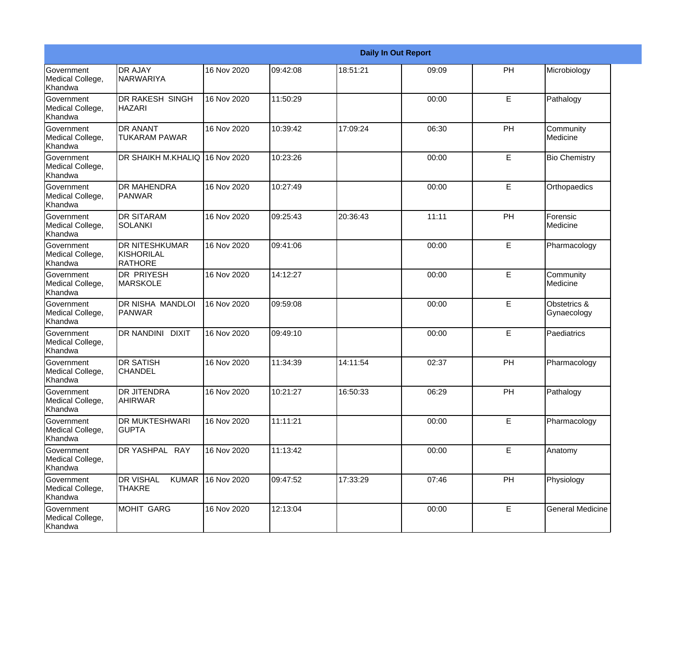|                                           |                                                       |             |          |          | <b>Daily In Out Report</b> |    |                             |
|-------------------------------------------|-------------------------------------------------------|-------------|----------|----------|----------------------------|----|-----------------------------|
| Government<br>Medical College,<br>Khandwa | <b>DR AJAY</b><br>NARWARIYA                           | 16 Nov 2020 | 09:42:08 | 18:51:21 | 09:09                      | PH | Microbiology                |
| Government<br>Medical College,<br>Khandwa | <b>DR RAKESH SINGH</b><br><b>HAZARI</b>               | 16 Nov 2020 | 11:50:29 |          | 00:00                      | E  | Pathalogy                   |
| Government<br>Medical College,<br>Khandwa | <b>DR ANANT</b><br><b>TUKARAM PAWAR</b>               | 16 Nov 2020 | 10:39:42 | 17:09:24 | 06:30                      | PH | Community<br>Medicine       |
| Government<br>Medical College,<br>Khandwa | DR SHAIKH M.KHALIQ                                    | 16 Nov 2020 | 10:23:26 |          | 00:00                      | E  | <b>Bio Chemistry</b>        |
| Government<br>Medical College,<br>Khandwa | <b>DR MAHENDRA</b><br><b>PANWAR</b>                   | 16 Nov 2020 | 10:27:49 |          | 00:00                      | E  | Orthopaedics                |
| Government<br>Medical College,<br>Khandwa | <b>DR SITARAM</b><br>SOLANKI                          | 16 Nov 2020 | 09:25:43 | 20:36:43 | 11:11                      | PH | Forensic<br>Medicine        |
| Government<br>Medical College,<br>Khandwa | <b>DR NITESHKUMAR</b><br>KISHORILAL<br><b>RATHORE</b> | 16 Nov 2020 | 09:41:06 |          | 00:00                      | E  | Pharmacology                |
| Government<br>Medical College,<br>Khandwa | <b>DR PRIYESH</b><br><b>MARSKOLE</b>                  | 16 Nov 2020 | 14:12:27 |          | 00:00                      | E  | Community<br>Medicine       |
| Government<br>Medical College,<br>Khandwa | DR NISHA MANDLOI<br><b>PANWAR</b>                     | 16 Nov 2020 | 09:59:08 |          | 00:00                      | E  | Obstetrics &<br>Gynaecology |
| Government<br>Medical College,<br>Khandwa | <b>DR NANDINI DIXIT</b>                               | 16 Nov 2020 | 09:49:10 |          | 00:00                      | E  | Paediatrics                 |
| Government<br>Medical College,<br>Khandwa | <b>DR SATISH</b><br><b>CHANDEL</b>                    | 16 Nov 2020 | 11:34:39 | 14:11:54 | 02:37                      | PH | Pharmacology                |
| Government<br>Medical College,<br>Khandwa | <b>DR JITENDRA</b><br><b>AHIRWAR</b>                  | 16 Nov 2020 | 10:21:27 | 16:50:33 | 06:29                      | PH | Pathalogy                   |
| Government<br>Medical College,<br>Khandwa | <b>DR MUKTESHWARI</b><br><b>GUPTA</b>                 | 16 Nov 2020 | 11:11:21 |          | 00:00                      | E  | Pharmacology                |
| Government<br>Medical College,<br>Khandwa | DR YASHPAL RAY                                        | 16 Nov 2020 | 11:13:42 |          | 00:00                      | E  | Anatomy                     |
| Government<br>Medical College,<br>Khandwa | <b>DR VISHAL</b><br><b>KUMAR</b><br><b>THAKRE</b>     | 16 Nov 2020 | 09:47:52 | 17:33:29 | 07:46                      | PH | Physiology                  |
| Government<br>Medical College,<br>Khandwa | <b>MOHIT GARG</b>                                     | 16 Nov 2020 | 12:13:04 |          | 00:00                      | E  | <b>General Medicine</b>     |